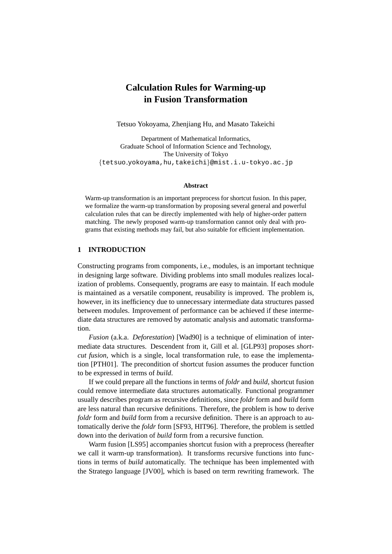# **Calculation Rules for Warming-up in Fusion Transformation**

Tetsuo Yokoyama, Zhenjiang Hu, and Masato Takeichi

Department of Mathematical Informatics, Graduate School of Information Science and Technology, The University of Tokyo {tetsuo yokoyama,hu,takeichi}@mist.i.u-tokyo.ac.jp

#### **Abstract**

Warm-up transformation is an important preprocess for shortcut fusion. In this paper, we formalize the warm-up transformation by proposing several general and powerful calculation rules that can be directly implemented with help of higher-order pattern matching. The newly proposed warm-up transformation cannot only deal with programs that existing methods may fail, but also suitable for efficient implementation.

## **1 INTRODUCTION**

Constructing programs from components, i.e., modules, is an important technique in designing large software. Dividing problems into small modules realizes localization of problems. Consequently, programs are easy to maintain. If each module is maintained as a versatile component, reusability is improved. The problem is, however, in its inefficiency due to unnecessary intermediate data structures passed between modules. Improvement of performance can be achieved if these intermediate data structures are removed by automatic analysis and automatic transformation.

*Fusion* (a.k.a. *Deforestation*) [Wad90] is a technique of elimination of intermediate data structures. Descendent from it, Gill et al. [GLP93] proposes *shortcut fusion*, which is a single, local transformation rule, to ease the implementation [PTH01]. The precondition of shortcut fusion assumes the producer function to be expressed in terms of *build*.

If we could prepare all the functions in terms of *foldr* and *build*, shortcut fusion could remove intermediate data structures automatically. Functional programmer usually describes program as recursive definitions, since *foldr* form and *build* form are less natural than recursive definitions. Therefore, the problem is how to derive *foldr* form and *build* form from a recursive definition. There is an approach to automatically derive the *foldr* form [SF93, HIT96]. Therefore, the problem is settled down into the derivation of *build* form from a recursive function.

Warm fusion [LS95] accompanies shortcut fusion with a preprocess (hereafter we call it warm-up transformation). It transforms recursive functions into functions in terms of *build* automatically. The technique has been implemented with the Stratego language [JV00], which is based on term rewriting framework. The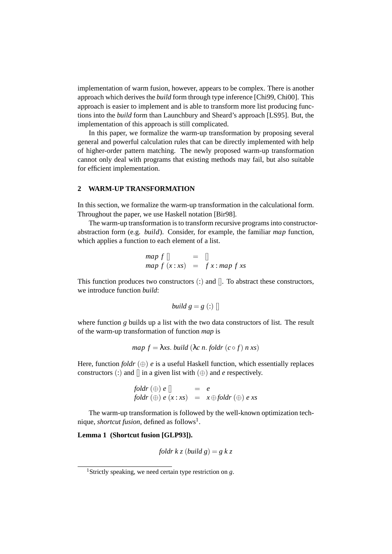implementation of warm fusion, however, appears to be complex. There is another approach which derives the *build* form through type inference [Chi99, Chi00]. This approach is easier to implement and is able to transform more list producing functions into the *build* form than Launchbury and Sheard's approach [LS95]. But, the implementation of this approach is still complicated.

In this paper, we formalize the warm-up transformation by proposing several general and powerful calculation rules that can be directly implemented with help of higher-order pattern matching. The newly proposed warm-up transformation cannot only deal with programs that existing methods may fail, but also suitable for efficient implementation.

#### **2 WARM-UP TRANSFORMATION**

In this section, we formalize the warm-up transformation in the calculational form. Throughout the paper, we use Haskell notation [Bir98].

The warm-up transformation is to transform recursive programs into constructorabstraction form (e.g. *build*). Consider, for example, the familiar *map* function, which applies a function to each element of a list.

$$
\begin{array}{rcl}\n\text{map } f \, \parallel & = & \parallel \\
\text{map } f \, (x : xs) & = & f \, x : \text{map } f \, xs\n\end{array}
$$

This function produces two constructors (:) and []. To abstract these constructors, we introduce function *build*:

$$
build\ g = g(:)]
$$

where function *g* builds up a list with the two data constructors of list. The result of the warm-up transformation of function *map* is

map 
$$
f = \lambda xs
$$
. build  $(\lambda c \, n$ . fold  $r(c \circ f) \, n \, xs)$ 

Here, function *foldr*  $(\oplus)$  *e* is a useful Haskell function, which essentially replaces constructors (:) and  $\parallel$  in a given list with  $(\oplus)$  and *e* respectively.

*foldr* (
$$
\bigoplus
$$
)  $e[]$  =  $e$   
*foldr* ( $\bigoplus$ )  $e(x:xs)$  =  $x \bigoplus$  *foldr* ( $\bigoplus$ )  $e xs$ 

The warm-up transformation is followed by the well-known optimization technique, *shortcut fusion*, defined as follows<sup>1</sup>.

## **Lemma 1 (Shortcut fusion [GLP93]).**

*foldr*  $k z$  (*build*  $g$ ) =  $g k z$ 

<sup>1</sup>Strictly speaking, we need certain type restriction on *g*.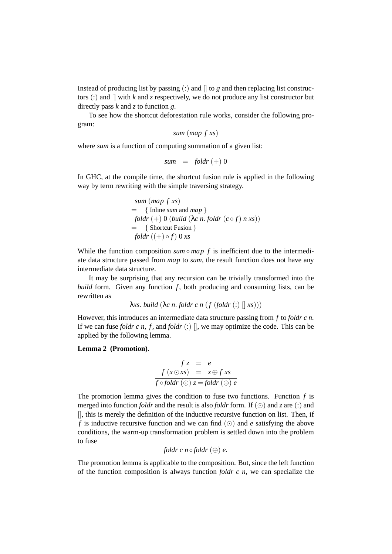Instead of producing list by passing  $\langle \cdot \rangle$  and  $\parallel$  to g and then replacing list constructors  $\therefore$  and  $\parallel$  with  $k$  and  $\zeta$  respectively, we do not produce any list constructor but directly pass *k* and *z* to function *g*.

To see how the shortcut deforestation rule works, consider the following program:

*sum* (*map f xs*)

where *sum* is a function of computing summation of a given list:

$$
sum = foldr (+) 0
$$

In GHC, at the compile time, the shortcut fusion rule is applied in the following way by term rewriting with the simple traversing strategy.

*sum* (*map f xs*) = { Inline *sum* and *map* } *foldr* (+) 0 (*build* (λ*c n*. *foldr* (*c* ◦ *f*) *n xs*)) = { Shortcut Fusion } *foldr* ((+) ◦ *f*) 0 *xs*

While the function composition  $\textit{sum} \circ \textit{map} f$  is inefficient due to the intermediate data structure passed from *map* to *sum*, the result function does not have any intermediate data structure.

It may be surprising that any recursion can be trivially transformed into the *build* form. Given any function *f*, both producing and consuming lists, can be rewritten as

λ*xs*. *build* (λ*c n*. *foldr c n* (*f* (*foldr* (:) [] *xs*)))

However, this introduces an intermediate data structure passing from *f* to *foldr c n*. If we can fuse *foldr*  $c \, n$ ,  $f$ , and *foldr*  $(:)$   $\parallel$ , we may optimize the code. This can be applied by the following lemma.

**Lemma 2 (Promotion).**

$$
f z = e
$$
  

$$
f (x \odot xs) = x \oplus f xs
$$
  

$$
f \circ foldr (\odot) z = foldr (\oplus) e
$$

The promotion lemma gives the condition to fuse two functions. Function *f* is merged into function *foldr* and the result is also *foldr* form. If  $(\odot)$  and *z* are (:) and [], this is merely the definition of the inductive recursive function on list. Then, if *f* is inductive recursive function and we can find  $(\odot)$  and *e* satisfying the above conditions, the warm-up transformation problem is settled down into the problem to fuse

*foldr*  $c$  *n* $\circ$  *foldr*  $(\oplus)$   $e$ .

The promotion lemma is applicable to the composition. But, since the left function of the function composition is always function *foldr c n*, we can specialize the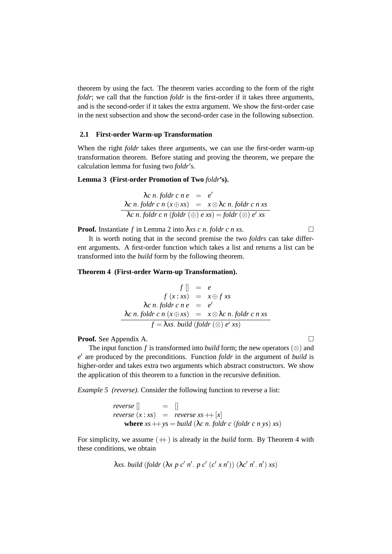theorem by using the fact. The theorem varies according to the form of the right *foldr*; we call that the function *foldr* is the first-order if it takes three arguments, and is the second-order if it takes the extra argument. We show the first-order case in the next subsection and show the second-order case in the following subsection.

#### **2.1 First-order Warm-up Transformation**

When the right *foldr* takes three arguments, we can use the first-order warm-up transformation theorem. Before stating and proving the theorem, we prepare the calculation lemma for fusing two *foldr*'s.

#### **Lemma 3 (First-order Promotion of Two** *foldr***'s).**

$$
\begin{array}{rcl}\n\lambda c \ n. \ foldr \ c \ n \ e & = & e' \\
\hline\n\lambda c \ n. \ foldr \ c \ n \ (x \oplus xs) & = & x \otimes \lambda c \ n. \ foldr \ c \ n \ xs \\
\hline\n\lambda c \ n. \ foldr \ c \ n \ (foldr \ (\oplus) \ e \ xs) = foldr \ (\otimes) \ e' \ xs\n\end{array}
$$

**Proof.** Instantiate *f* in Lemma 2 into  $\lambda xs \, c \, n$ . *foldr*  $c \, n \, xs$ .

It is worth noting that in the second premise the two *foldr*s can take different arguments. A first-order function which takes a list and returns a list can be transformed into the *build* form by the following theorem.

#### **Theorem 4 (First-order Warm-up Transformation).**

$$
f [] = e
$$
  
\n
$$
f (x : xs) = x \oplus f xs
$$
  
\n
$$
\lambda c n. foldr c n e = e'
$$
  
\n
$$
\frac{\lambda c n. foldr c n (x \oplus xs) = x \otimes \lambda c n. foldr c n xs}{f = \lambda xs. build (foldr (\otimes) e' xs)}
$$

**Proof.** See Appendix A.

The input function *f* is transformed into *build* form; the new operators  $(\otimes)$  and  $e'$  are produced by the preconditions. Function *foldr* in the argument of *build* is higher-order and takes extra two arguments which abstract constructors. We show the application of this theorem to a function in the recursive definition.

*Example 5 (reverse).* Consider the following function to reverse a list:

*reverse*  $\begin{bmatrix} \end{bmatrix} = \begin{bmatrix} \end{bmatrix}$ *reverse*  $(x : xs) = reverse$  *reverse*  $xs + [x]$ **where**  $xs + ys = build$  ( $\lambda c$  *n. foldr c* (*foldr c n ys*)  $xs$ )

For simplicity, we assume  $(+)$  is already in the *build* form. By Theorem 4 with these conditions, we obtain

*λxs. build* (*foldr* (λ*x p c' n'. p c'* (*c' x n'*)) (λ*c' n'. n'*) *xs*)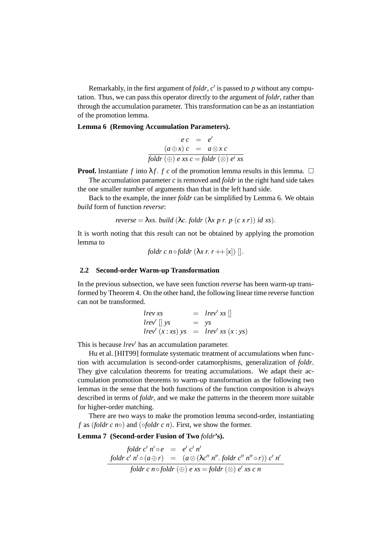Remarkably, in the first argument of  $foldr$ ,  $c'$  is passed to  $p$  without any computation. Thus, we can pass this operator directly to the argument of *foldr*, rather than through the accumulation parameter. This transformation can be as an instantiation of the promotion lemma.

#### **Lemma 6 (Removing Accumulation Parameters).**

$$
e c = e'
$$
  
\n
$$
(a \oplus x) c = a \otimes x c
$$
  
\n
$$
\overline{foldr}(\oplus) e x s c = \overline{foldr}(\otimes) e' x s
$$

**Proof.** Instantiate *f* into  $\lambda f$ . *f c* of the promotion lemma results in this lemma.  $\Box$ 

The accumulation parameter  $c$  is removed and *foldr* in the right hand side takes the one smaller number of arguments than that in the left hand side.

Back to the example, the inner *foldr* can be simplified by Lemma 6. We obtain *build* form of function *reverse*:

*reverse* = 
$$
\lambda
$$
*xs. build* ( $\lambda$ *c. foldr* ( $\lambda$ *x p r. p* (*c x r*)) *id xs*).

It is worth noting that this result can not be obtained by applying the promotion lemma to

*foldr*  $c$  *n*  $\circ$  *foldr*  $(\lambda x r r + |x|)$  [].

#### **2.2 Second-order Warm-up Transformation**

In the previous subsection, we have seen function *reverse* has been warm-up transformed by Theorem 4. On the other hand, the following linear time reverse function can not be transformed.

*lrev xs* = *lrev*<sup>0</sup> *xs* [] *lrev*<sup>0</sup> [] *ys* = *ys lrev*<sup>0</sup> (*x* : *xs*) *ys* = *lrev*<sup>0</sup> *xs* (*x* : *ys*)

This is because *lrev* has an accumulation parameter.

Hu et al. [HIT99] formulate systematic treatment of accumulations when function with accumulation is second-order catamorphisms, generalization of *foldr*. They give calculation theorems for treating accumulations. We adapt their accumulation promotion theorems to warm-up transformation as the following two lemmas in the sense that the both functions of the function composition is always described in terms of *foldr*, and we make the patterns in the theorem more suitable for higher-order matching.

There are two ways to make the promotion lemma second-order, instantiating  $f$  as (*foldr*  $c$  *n* $\circ$ ) and ( $\circ$ *foldr*  $c$  *n*). First, we show the former.

**Lemma 7 (Second-order Fusion of Two** *foldr***'s).**

$$
\begin{array}{rcl}\n\text{foldr c'}\ n' \circ e & = & e' \, c' \, n' \\
\text{foldr c'}\ n' \circ (a \oplus r) & = & (a \otimes (\lambda c'' \, n'' \cdot \text{foldr c''} \, n'' \circ r)) \, c' \, n' \\
\text{foldr c} \ n \circ \text{foldr} \ (\oplus) \ e \, xs = \text{foldr} \ (\otimes) \ e' \, xs \, c \, n\n\end{array}
$$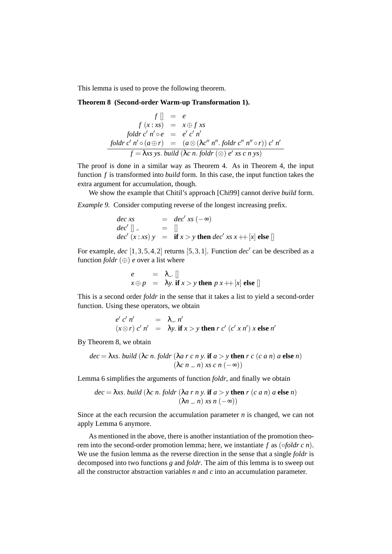This lemma is used to prove the following theorem.

**Theorem 8 (Second-order Warm-up Transformation 1).**

$$
f [] = e
$$
  
\n
$$
f (x : xs) = x \oplus f xs
$$
  
\n
$$
folder c' n' \circ e = e' c' n'
$$
  
\n
$$
\underline{folder c' n' \circ (a \oplus r) = (a \otimes (\lambda c'' n'' \cdot foldr c'' n'' \circ r)) c' n'}
$$
  
\n
$$
f = \lambda xs ys. build (\lambda c n. foldr (\otimes) e' xs c n ys)
$$

The proof is done in a similar way as Theorem 4. As in Theorem 4, the input function *f* is transformed into *build* form. In this case, the input function takes the extra argument for accumulation, though.

We show the example that Chitil's approach [Chi99] cannot derive *build* form.

*Example 9.* Consider computing reverse of the longest increasing prefix.

$$
dec xs = dec' xs (-\infty)
$$
  
\n
$$
dec' [] = []
$$
  
\n
$$
dec' (x : xs) y = \textbf{if } x > y \textbf{ then } dec' xs x ++ [x] \textbf{ else } []
$$

For example,  $dec$   $[1,3,5,4,2]$  returns  $[5,3,1]$ . Function  $dec'$  can be described as a function  $foldr$  ( $\oplus$ ) *e* over a list where

$$
\begin{array}{rcl}\ne & = & \lambda_-\left[\right] \\
x \oplus p & = & \lambda y.\text{ if } x > y \text{ then } p x \text{++[}x \text{]} \text{ else } \text{]} \end{array}
$$

This is a second order *foldr* in the sense that it takes a list to yield a second-order function. Using these operators, we obtain

$$
e' c' n' = \lambda_-, n'
$$
  

$$
(x \otimes r) c' n' = \lambda y.
$$
 if  $x > y$  then  $r c' (c' x n') x$  else  $n'$ 

By Theorem 8, we obtain

$$
dec = \lambda xs. \text{ build } (\lambda c \text{ } n. \text{ fold } r (\lambda a \text{ } r \text{ } c \text{ } n \text{ } y. \text{ if } a > y \text{ then } r \text{ } c \text{ } (c \text{ } a \text{ } n) \text{ } a \text{ else } n)
$$
\n
$$
(\lambda c \text{ } n \text{ } \dots \text{ } n) \text{ } xs \text{ } c \text{ } n \text{ } (-\infty))
$$

Lemma 6 simplifies the arguments of function *foldr*, and finally we obtain

$$
dec = \lambda xs. \text{ build } (\lambda c \text{ } n. \text{ fold } r \text{ } (\lambda a \text{ } r \text{ } n \text{ } y. \text{ if } a > y \text{ then } r \text{ } (c \text{ } a \text{ } n) \text{ } a \text{ else } n)
$$
\n
$$
(\lambda n \dots n) \text{ } xs \text{ } n \text{ } (-\infty))
$$

Since at the each recursion the accumulation parameter *n* is changed, we can not apply Lemma 6 anymore.

As mentioned in the above, there is another instantiation of the promotion theorem into the second-order promotion lemma; here, we instantiate *f* as (◦*foldr c n*). We use the fusion lemma as the reverse direction in the sense that a single *foldr* is decomposed into two functions *g* and *foldr*. The aim of this lemma is to sweep out all the constructor abstraction variables *n* and *c* into an accumulation parameter.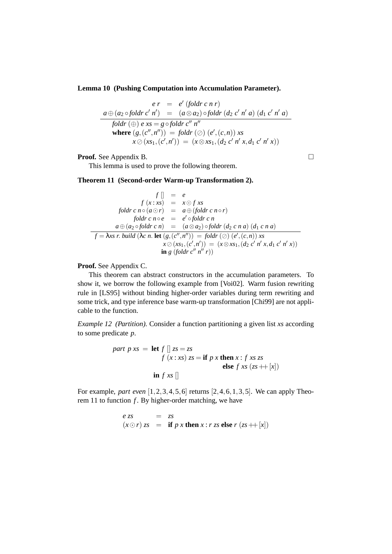**Lemma 10 (Pushing Computation into Accumulation Parameter).**

$$
er = e' (folder cn r)
$$
  
\n
$$
\frac{a \oplus (a_2 \circ foldr c' n') = (a \otimes a_2) \circ foldr (d_2 c' n' a) (d_1 c' n' a)}{foldr (\oplus) e xs = g \circ foldr c'' n''}
$$
  
\nwhere  $(g, (c'', n'')) = foldr (\oslash (e', (c, n)) xs$   
\n $x \oslash (xs_1, (c', n')) = (x \otimes xs_1, (d_2 c' n' x, d_1 c' n' x))$ 

**Proof.** See Appendix B. □

This lemma is used to prove the following theorem.

**Theorem 11 (Second-order Warm-up Transformation 2).**

$$
f[] = e
$$
  
\n
$$
f(x:xs) = x \odot f xs
$$
  
\n
$$
foldr c n \circ (a \odot r) = a \oplus (foldr c n \circ r)
$$
  
\n
$$
foldr c n \circ e = e' \circ foldr c n
$$
  
\n
$$
a \oplus (a_2 \circ foldr c n) = (a \otimes a_2) \circ foldr (d_2 c n a) (d_1 c n a)
$$
  
\n
$$
f = \lambda xs r. build (\lambda c n. let (g, (c'', n'')) = foldr (\oslash (e', (c, n)) xs
$$
  
\n
$$
x \oslash (xs_1, (c', n')) = (x \otimes xs_1, (d_2 c' n' x, d_1 c' n' x))
$$
  
\n
$$
in g (foldr c'' n'' r))
$$

**Proof.** See Appendix C.

This theorem can abstract constructors in the accumulation parameters. To show it, we borrow the following example from [Voi02]. Warm fusion rewriting rule in [LS95] without binding higher-order variables during term rewriting and some trick, and type inference base warm-up transformation [Chi99] are not applicable to the function.

*Example 12 (Partition).* Consider a function partitioning a given list *xs* according to some predicate *p*.

part 
$$
p xs = \text{let } f \rvert z s = zs
$$
  
\n $f(x : xs) zs = \text{if } p x \text{ then } x : f xs zs$   
\nelse  $f xs (zs + \rvert x)$   
\n $\text{in } f xs \rvert$ 

For example, *part even* [1,2,3,4,5,6] returns [2,4,6,1,3,5]. We can apply Theorem 11 to function *f* . By higher-order matching, we have

$$
e z s = z s
$$
  
( $x \odot r$ )  $z s =$  if  $p x$  then  $x : r z s$  else  $r (z s + |x|)$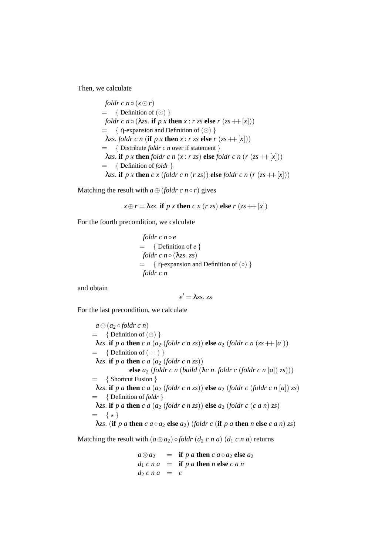Then, we calculate

*foldr*  $c$   $n \circ (x \odot r)$  $= \{$  Definition of  $(\odot)$  } *foldr c*  $n \circ (\lambda z)$ . **if**  $p \times \textbf{then } x : r \times \textbf{else} \ r \times (z \times \textbf{then} \ |x|)$  $= \{ \eta$ -expansion and Definition of  $(\odot)$  }  $λ$ *zs*. *foldr c n* (**if** *p x* **then** *x* : *r zs* **else** *r* (*zs* ++[*x*])) = { Distribute *foldr c n* over if statement }  $λ$ *zs*. **if** *p x* **then** *foldr c n* (*x* : *r zs*) **else** *foldr c n* (*r* (*zs* ++[*x*])) = { Definition of *foldr* }  $λ$ *zs*. **if** *p x* **then** *c x* (*foldr c n* (*r zs*)) **else** *foldr c n* (*r* (*zs* ++[*x*]))

Matching the result with  $a \oplus (foldr \ c \ n \circ r)$  gives

$$
x \oplus r = \lambda z s
$$
. if  $p x$  then  $c x (r z s)$  else  $r (z s + |x|)$ 

For the fourth precondition, we calculate

*foldr* 
$$
c n \circ e
$$
  
= { Definition of  $e$  }  
*foldr*  $c n \circ (\lambda z s. z s)$   
= {  $\eta$ -expansion and Definition of (0) }  
*foldr*  $c n$ 

and obtain

$$
e'=\lambda z s. \ z s
$$

For the last precondition, we calculate

 $a \oplus (a_2 \circ foldr \circ n)$  $= \{$  Definition of  $(\oplus)$ }  $λ$ *zs*. **if** *p a* **then** *c a* (*a*<sub>2</sub> (*foldr c n zs*)) **else** *a*<sub>2</sub> (*foldr c n* (*zs* ++[*a*]))  $= \{$  Definition of  $(+) \}$  $λ$ *zs*. **if** *p a* **then** *c a* (*a*<sub>2</sub> (*foldr c n zs*)) **else** *a*<sup>2</sup> (*foldr c n* (*build* (λ*c n*. *foldr c* (*foldr c n* [*a*]) *zs*))) = { Shortcut Fusion }  $λ$ *zs*. **if** *p a* **then** *c a* (*a*<sub>2</sub> (*foldr c n zs*)) **else** *a*<sub>2</sub> (*foldr c* (*foldr c n* [*a*]) *zs*) = { Definition of *foldr* }  $λ$ *zs*. **if** *p a* **then** *c a* (*a*<sub>2</sub> (*foldr c n zs*)) **else** *a*<sub>2</sub> (*foldr c* (*c a n*) *zs*)  $=$   $\{ \star \}$  $λ$ *zs*. (**if** *p a* **then** *c*  $a \circ a$ <sub>2</sub> **else**  $a$ <sub>2</sub>) (*foldr c* (**if** *p a* **then** *n* **else** *c*  $a$  *n*) *zs*)

Matching the result with  $(a \otimes a_2) \circ foldr (d_2 \circ n \circ a) (d_1 \circ n \circ a)$  returns

 $a \otimes a_2$  = **if** *p a* **then**  $c$   $a \circ a_2$  **else**  $a_2$  $d_1 c n a =$  **if**  $p a$  **then**  $n$  **else**  $c a n$  $d_2 c n a = c$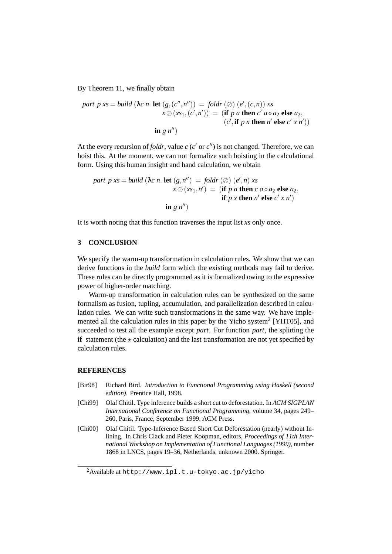By Theorem 11, we finally obtain

part 
$$
p
$$
  $xs = build$   $(\lambda c \, n. \text{ let } (g, (c'', n'')) = foldr \, (\oslash) (e', (c, n)) xs$   
\n $x \oslash (xs_1, (c', n')) = (\text{if } p \text{ a then } c' \text{ a} \circ a_2 \text{ else } a_2,$   
\n $(c', \text{if } p \text{ x then } n' \text{ else } c' \text{ x } n'))$   
\n $\text{in } g \, n'')$ 

At the every recursion of *foldr*, value  $c$  ( $c'$  or  $c''$ ) is not changed. Therefore, we can hoist this. At the moment, we can not formalize such hoisting in the calculational form. Using this human insight and hand calculation, we obtain

part 
$$
p
$$
 xs = build  $(\lambda c \, n. \text{ let } (g, n'') = foldr \, (\oslash) (e', n) \, xs$   
\n $x \oslash (xs_1, n') = (\text{if } p \, a \text{ then } c \, a \circ a_2 \text{ else } a_2,$   
\nif  $p \, x \text{ then } n' \text{ else } c' \, x \, n')$   
\n $\text{in } g \, n''$ 

It is worth noting that this function traverses the input list *xs* only once.

## **3 CONCLUSION**

We specify the warm-up transformation in calculation rules. We show that we can derive functions in the *build* form which the existing methods may fail to derive. These rules can be directly programmed as it is formalized owing to the expressive power of higher-order matching.

Warm-up transformation in calculation rules can be synthesized on the same formalism as fusion, tupling, accumulation, and parallelization described in calculation rules. We can write such transformations in the same way. We have implemented all the calculation rules in this paper by the Yicho system<sup>2</sup> [YHT05], and succeeded to test all the example except *part*. For function *part*, the splitting the **if** statement (the  $\star$  calculation) and the last transformation are not yet specified by calculation rules.

#### **REFERENCES**

- [Bir98] Richard Bird. *Introduction to Functional Programming using Haskell (second edition)*. Prentice Hall, 1998.
- [Chi99] Olaf Chitil. Type inference builds a short cut to deforestation. In *ACM SIGPLAN International Conference on Functional Programming*, volume 34, pages 249– 260, Paris, France, September 1999. ACM Press.
- [Chi00] Olaf Chitil. Type-Inference Based Short Cut Deforestation (nearly) without Inlining. In Chris Clack and Pieter Koopman, editors, *Proceedings of 11th International Workshop on Implementation of Functional Languages (1999)*, number 1868 in LNCS, pages 19–36, Netherlands, unknown 2000. Springer.

 $2$ Available at http://www.ipl.t.u-tokyo.ac.jp/yicho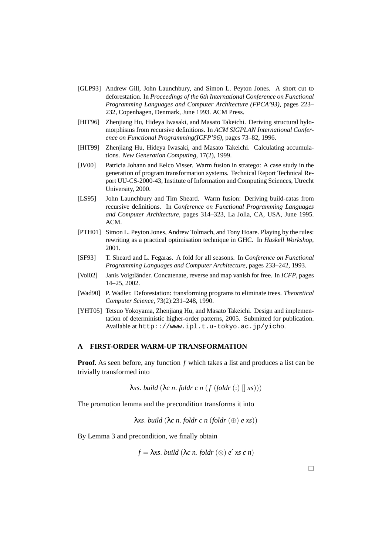- [GLP93] Andrew Gill, John Launchbury, and Simon L. Peyton Jones. A short cut to deforestation. In *Proceedings of the 6th International Conference on Functional Programming Languages and Computer Architecture (FPCA'93)*, pages 223– 232, Copenhagen, Denmark, June 1993. ACM Press.
- [HIT96] Zhenjiang Hu, Hideya Iwasaki, and Masato Takeichi. Deriving structural hylomorphisms from recursive definitions. In *ACM SIGPLAN International Conference on Functional Programming(ICFP'96)*, pages 73–82, 1996.
- [HIT99] Zhenjiang Hu, Hideya Iwasaki, and Masato Takeichi. Calculating accumulations. *New Generation Computing*, 17(2), 1999.
- [JV00] Patricia Johann and Eelco Visser. Warm fusion in stratego: A case study in the generation of program transformation systems. Technical Report Technical Report UU-CS-2000-43, Institute of Information and Computing Sciences, Utrecht University, 2000.
- [LS95] John Launchbury and Tim Sheard. Warm fusion: Deriving build-catas from recursive definitions. In *Conference on Functional Programming Languages and Computer Architecture*, pages 314–323, La Jolla, CA, USA, June 1995. ACM.
- [PTH01] Simon L. Peyton Jones, Andrew Tolmach, and Tony Hoare. Playing by the rules: rewriting as a practical optimisation technique in GHC. In *Haskell Workshop*, 2001.
- [SF93] T. Sheard and L. Fegaras. A fold for all seasons. In *Conference on Functional Programming Languages and Computer Architecture*, pages 233–242, 1993.
- [Voi02] Janis Voigtländer. Concatenate, reverse and map vanish for free. In *ICFP*, pages 14–25, 2002.
- [Wad90] P. Wadler. Deforestation: transforming programs to eliminate trees. *Theoretical Computer Science*, 73(2):231–248, 1990.
- [YHT05] Tetsuo Yokoyama, Zhenjiang Hu, and Masato Takeichi. Design and implementation of deterministic higher-order patterns, 2005. Submitted for publication. Available at http:://www.ipl.t.u-tokyo.ac.jp/yicho.

## **A FIRST-ORDER WARM-UP TRANSFORMATION**

**Proof.** As seen before, any function *f* which takes a list and produces a list can be trivially transformed into

λ*xs*. *build* (λ*c n*. *foldr c n* (*f* (*foldr* (:) [] *xs*)))

The promotion lemma and the precondition transforms it into

λ*xs*. *build* (λ*c n*. *foldr c n* (*foldr* (⊕) *e xs*))

By Lemma 3 and precondition, we finally obtain

 $f = \lambda xs$ . *build*  $(\lambda c \ n$ . *foldr*  $(\otimes) e' xs \ c \ n)$ 

 $\Box$